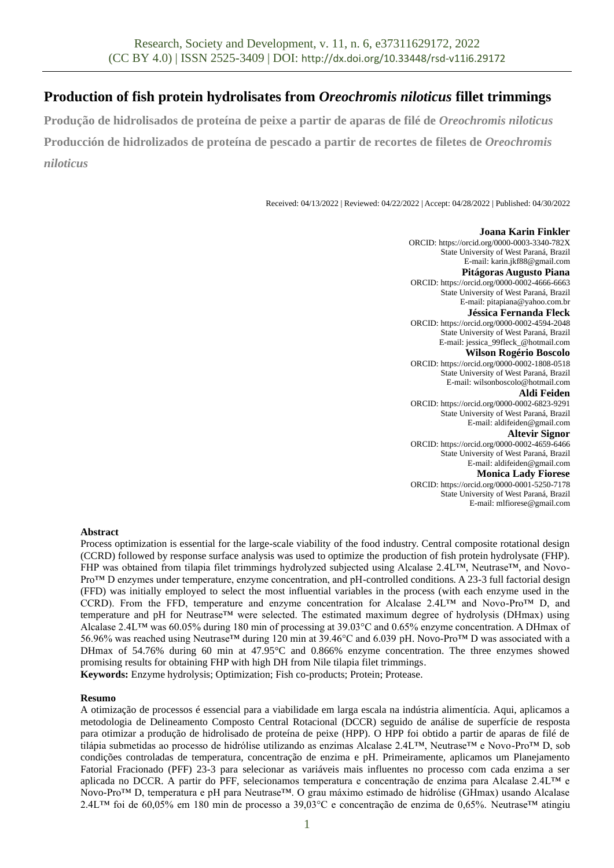# **Production of fish protein hydrolisates from** *Oreochromis niloticus* **fillet trimmings**

**Produção de hidrolisados de proteína de peixe a partir de aparas de filé de** *Oreochromis niloticus* **Producción de hidrolizados de proteína de pescado a partir de recortes de filetes de** *Oreochromis niloticus*

Received: 04/13/2022 | Reviewed: 04/22/2022 | Accept: 04/28/2022 | Published: 04/30/2022

**Joana Karin Finkler** ORCID: https://orcid.org/0000-0003-3340-782X State University of West Paraná, Brazil E-mail: karin.jkf88@gmail.com **Pitágoras Augusto Piana** ORCID: https://orcid.org/0000-0002-4666-6663 State University of West Paraná, Brazil E-mail: pitapiana@yahoo.com.br **Jéssica Fernanda Fleck** ORCID: https://orcid.org/0000-0002-4594-2048 State University of West Paraná, Brazil E-mail: jessica\_99fleck\_@hotmail.com **Wilson Rogério Boscolo** ORCID: https://orcid.org/0000-0002-1808-0518 State University of West Paraná, Brazil E-mail: wilsonboscolo@hotmail.com **Aldi Feiden** ORCID: https://orcid.org/0000-0002-6823-9291 State University of West Paraná, Brazil E-mail: aldifeiden@gmail.com **Altevir Signor** ORCID: https://orcid.org/0000-0002-4659-6466 State University of West Paraná, Brazil E-mail: aldifeiden@gmail.com **Monica Lady Fiorese** ORCID: https://orcid.org/0000-0001-5250-7178 State University of West Paraná, Brazil E-mail: mlfiorese@gmail.com

## **Abstract**

Process optimization is essential for the large-scale viability of the food industry. Central composite rotational design (CCRD) followed by response surface analysis was used to optimize the production of fish protein hydrolysate (FHP). FHP was obtained from tilapia filet trimmings hydrolyzed subjected using Alcalase 2.4L™, Neutrase™, and Novo-Pro™ D enzymes under temperature, enzyme concentration, and pH-controlled conditions. A 23-3 full factorial design (FFD) was initially employed to select the most influential variables in the process (with each enzyme used in the CCRD). From the FFD, temperature and enzyme concentration for Alcalase 2.4L™ and Novo-Pro™ D, and temperature and pH for Neutrase™ were selected. The estimated maximum degree of hydrolysis (DHmax) using Alcalase 2.4L™ was 60.05% during 180 min of processing at 39.03°C and 0.65% enzyme concentration. A DHmax of 56.96% was reached using Neutrase™ during 120 min at 39.46°C and 6.039 pH. Novo-Pro™ D was associated with a DHmax of 54.76% during 60 min at 47.95°C and 0.866% enzyme concentration. The three enzymes showed promising results for obtaining FHP with high DH from Nile tilapia filet trimmings. **Keywords:** Enzyme hydrolysis; Optimization; Fish co-products; Protein; Protease.

**Resumo**

A otimização de processos é essencial para a viabilidade em larga escala na indústria alimentícia. Aqui, aplicamos a metodologia de Delineamento Composto Central Rotacional (DCCR) seguido de análise de superfície de resposta para otimizar a produção de hidrolisado de proteína de peixe (HPP). O HPP foi obtido a partir de aparas de filé de tilápia submetidas ao processo de hidrólise utilizando as enzimas Alcalase 2.4L™, Neutrase™ e Novo-Pro™ D, sob condições controladas de temperatura, concentração de enzima e pH. Primeiramente, aplicamos um Planejamento Fatorial Fracionado (PFF) 23-3 para selecionar as variáveis mais influentes no processo com cada enzima a ser aplicada no DCCR. A partir do PFF, selecionamos temperatura e concentração de enzima para Alcalase 2.4L™ e Novo-Pro™ D, temperatura e pH para Neutrase™. O grau máximo estimado de hidrólise (GHmax) usando Alcalase 2.4L™ foi de 60,05% em 180 min de processo a 39,03°C e concentração de enzima de 0,65%. Neutrase™ atingiu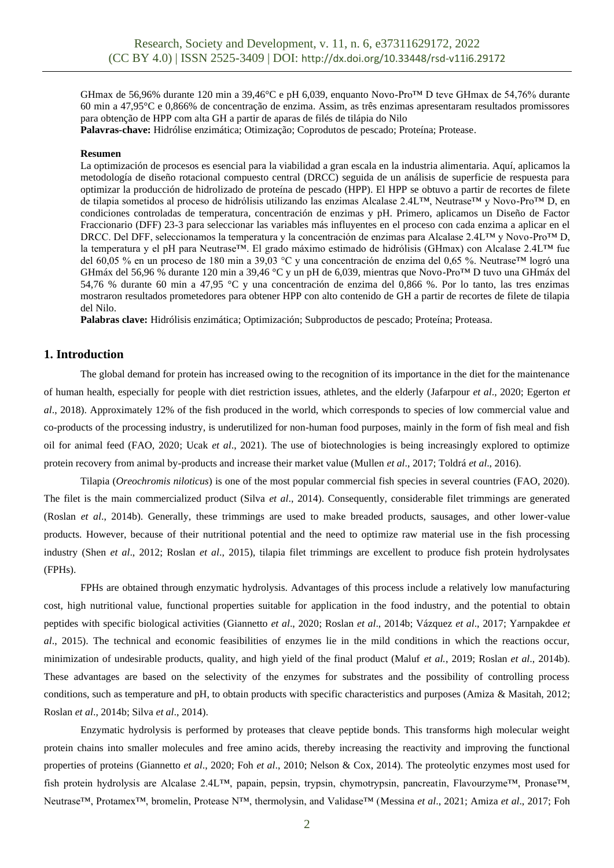GHmax de 56,96% durante 120 min a 39,46°C e pH 6,039, enquanto Novo-Pro™ D teve GHmax de 54,76% durante 60 min a 47,95°C e 0,866% de concentração de enzima. Assim, as três enzimas apresentaram resultados promissores para obtenção de HPP com alta GH a partir de aparas de filés de tilápia do Nilo **Palavras-chave:** Hidrólise enzimática; Otimização; Coprodutos de pescado; Proteína; Protease.

**Resumen**

La optimización de procesos es esencial para la viabilidad a gran escala en la industria alimentaria. Aquí, aplicamos la metodología de diseño rotacional compuesto central (DRCC) seguida de un análisis de superficie de respuesta para optimizar la producción de hidrolizado de proteína de pescado (HPP). El HPP se obtuvo a partir de recortes de filete de tilapia sometidos al proceso de hidrólisis utilizando las enzimas Alcalase 2.4L™, Neutrase™ y Novo-Pro™ D, en condiciones controladas de temperatura, concentración de enzimas y pH. Primero, aplicamos un Diseño de Factor Fraccionario (DFF) 23-3 para seleccionar las variables más influyentes en el proceso con cada enzima a aplicar en el DRCC. Del DFF, seleccionamos la temperatura y la concentración de enzimas para Alcalase 2.4L™ y Novo-Pro™ D, la temperatura y el pH para Neutrase™. El grado máximo estimado de hidrólisis (GHmax) con Alcalase 2.4L™ fue del 60,05 % en un proceso de 180 min a 39,03 °C y una concentración de enzima del 0,65 %. Neutrase™ logró una GHmáx del 56,96 % durante 120 min a 39,46 °C y un pH de 6,039, mientras que Novo-Pro™ D tuvo una GHmáx del 54,76 % durante 60 min a 47,95 °C y una concentración de enzima del 0,866 %. Por lo tanto, las tres enzimas mostraron resultados prometedores para obtener HPP con alto contenido de GH a partir de recortes de filete de tilapia del Nilo.

**Palabras clave:** Hidrólisis enzimática; Optimización; Subproductos de pescado; Proteína; Proteasa.

# **1. Introduction**

The global demand for protein has increased owing to the recognition of its importance in the diet for the maintenance of human health, especially for people with diet restriction issues, athletes, and the elderly (Jafarpour *et al*., 2020; Egerton *et al*., 2018). Approximately 12% of the fish produced in the world, which corresponds to species of low commercial value and co-products of the processing industry, is underutilized for non-human food purposes, mainly in the form of fish meal and fish oil for animal feed (FAO, 2020; Ucak *et al*., 2021). The use of biotechnologies is being increasingly explored to optimize protein recovery from animal by-products and increase their market value (Mullen *et al*., 2017; Toldrá *et al*., 2016).

Tilapia (*Oreochromis niloticus*) is one of the most popular commercial fish species in several countries (FAO, 2020). The filet is the main commercialized product (Silva *et al*., 2014). Consequently, considerable filet trimmings are generated (Roslan *et al*., 2014b). Generally, these trimmings are used to make breaded products, sausages, and other lower-value products. However, because of their nutritional potential and the need to optimize raw material use in the fish processing industry (Shen *et al*., 2012; Roslan *et al*., 2015), tilapia filet trimmings are excellent to produce fish protein hydrolysates (FPHs).

FPHs are obtained through enzymatic hydrolysis. Advantages of this process include a relatively low manufacturing cost, high nutritional value, functional properties suitable for application in the food industry, and the potential to obtain peptides with specific biological activities (Giannetto *et al*., 2020; Roslan *et al*., 2014b; Vázquez *et al*., 2017; Yarnpakdee *et al*., 2015). The technical and economic feasibilities of enzymes lie in the mild conditions in which the reactions occur, minimization of undesirable products, quality, and high yield of the final product (Maluf *et al.*, 2019; Roslan *et al*., 2014b). These advantages are based on the selectivity of the enzymes for substrates and the possibility of controlling process conditions, such as temperature and pH, to obtain products with specific characteristics and purposes (Amiza & Masitah, 2012; Roslan *et al*., 2014b; Silva *et al*., 2014).

Enzymatic hydrolysis is performed by proteases that cleave peptide bonds. This transforms high molecular weight protein chains into smaller molecules and free amino acids, thereby increasing the reactivity and improving the functional properties of proteins (Giannetto *et al*., 2020; Foh *et al*., 2010; Nelson & Cox, 2014). The proteolytic enzymes most used for fish protein hydrolysis are Alcalase 2.4L™, papain, pepsin, trypsin, chymotrypsin, pancreatin, Flavourzyme™, Pronase™, Neutrase™, Protamex™, bromelin, Protease N™, thermolysin, and Validase™ (Messina *et al*., 2021; Amiza *et al*., 2017; Foh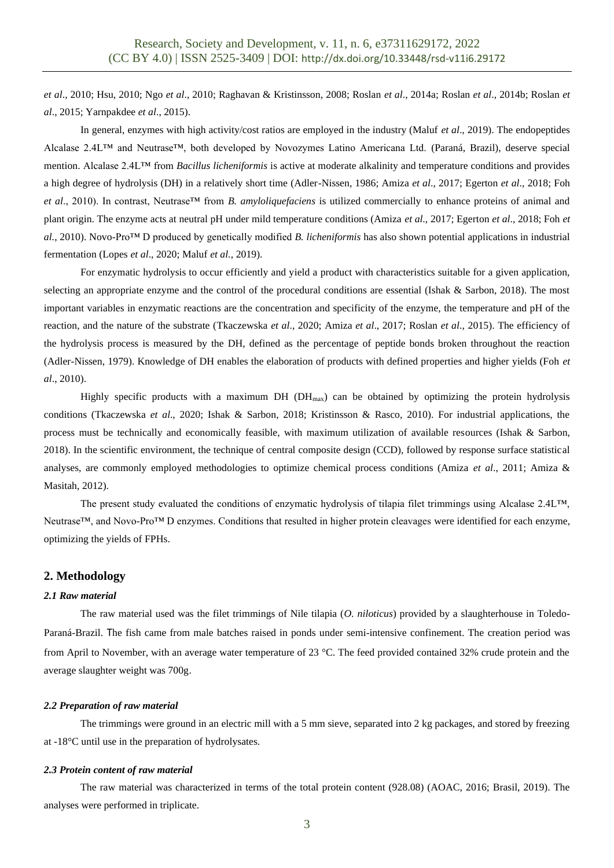*et al*., 2010; Hsu, 2010; Ngo *et al*., 2010; Raghavan & Kristinsson, 2008; Roslan *et al*., 2014a; Roslan *et al*., 2014b; Roslan *et al*., 2015; Yarnpakdee *et al*., 2015).

In general, enzymes with high activity/cost ratios are employed in the industry (Maluf *et al*., 2019). The endopeptides Alcalase 2.4L™ and Neutrase™, both developed by Novozymes Latino Americana Ltd. (Paraná, Brazil), deserve special mention. Alcalase 2.4L™ from *Bacillus licheniformis* is active at moderate alkalinity and temperature conditions and provides a high degree of hydrolysis (DH) in a relatively short time (Adler-Nissen, 1986; Amiza *et al*., 2017; Egerton *et al*., 2018; Foh *et al*., 2010). In contrast, Neutrase™ from *B. amyloliquefaciens* is utilized commercially to enhance proteins of animal and plant origin. The enzyme acts at neutral pH under mild temperature conditions (Amiza *et al*., 2017; Egerton *et al*., 2018; Foh *et al.*, 2010). Novo-Pro™ D produced by genetically modified *B. licheniformis* has also shown potential applications in industrial fermentation (Lopes *et al*., 2020; Maluf *et al.,* 2019).

For enzymatic hydrolysis to occur efficiently and yield a product with characteristics suitable for a given application, selecting an appropriate enzyme and the control of the procedural conditions are essential (Ishak & Sarbon, 2018). The most important variables in enzymatic reactions are the concentration and specificity of the enzyme, the temperature and pH of the reaction, and the nature of the substrate (Tkaczewska *et al*., 2020; Amiza *et al*., 2017; Roslan *et al*., 2015). The efficiency of the hydrolysis process is measured by the DH, defined as the percentage of peptide bonds broken throughout the reaction (Adler-Nissen, 1979). Knowledge of DH enables the elaboration of products with defined properties and higher yields (Foh *et al*., 2010).

Highly specific products with a maximum DH (DH<sub>max</sub>) can be obtained by optimizing the protein hydrolysis conditions (Tkaczewska *et al*., 2020; Ishak & Sarbon, 2018; Kristinsson & Rasco, 2010). For industrial applications, the process must be technically and economically feasible, with maximum utilization of available resources (Ishak & Sarbon, 2018). In the scientific environment, the technique of central composite design (CCD), followed by response surface statistical analyses, are commonly employed methodologies to optimize chemical process conditions (Amiza *et al*., 2011; Amiza & Masitah, 2012).

The present study evaluated the conditions of enzymatic hydrolysis of tilapia filet trimmings using Alcalase 2.4L™, Neutrase™, and Novo-Pro™ D enzymes. Conditions that resulted in higher protein cleavages were identified for each enzyme, optimizing the yields of FPHs.

## **2. Methodology**

#### *2.1 Raw material*

The raw material used was the filet trimmings of Nile tilapia (*O. niloticus*) provided by a slaughterhouse in Toledo-Paraná-Brazil. The fish came from male batches raised in ponds under semi-intensive confinement. The creation period was from April to November, with an average water temperature of 23 °C. The feed provided contained 32% crude protein and the average slaughter weight was 700g.

#### *2.2 Preparation of raw material*

The trimmings were ground in an electric mill with a 5 mm sieve, separated into 2 kg packages, and stored by freezing at -18°C until use in the preparation of hydrolysates.

#### *2.3 Protein content of raw material*

The raw material was characterized in terms of the total protein content (928.08) (AOAC, 2016; Brasil, 2019). The analyses were performed in triplicate.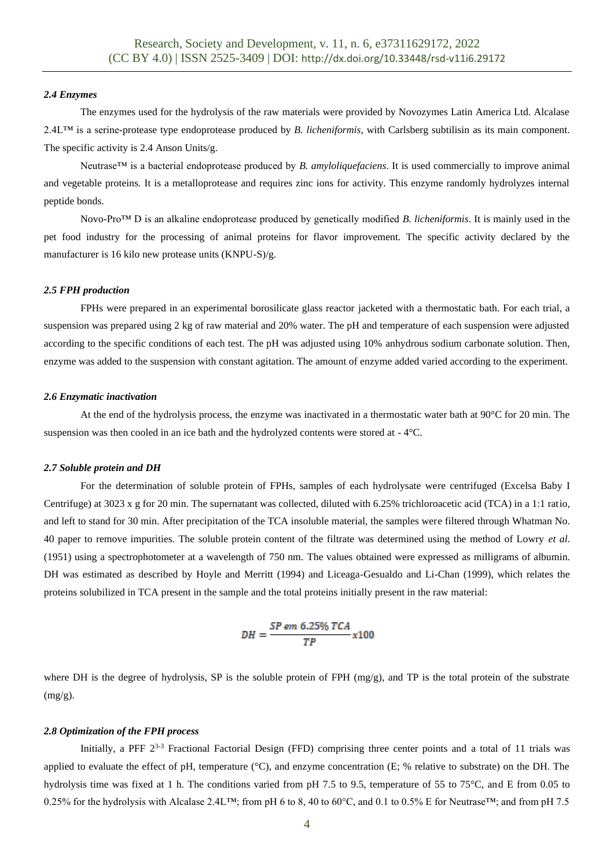#### *2.4 Enzymes*

The enzymes used for the hydrolysis of the raw materials were provided by Novozymes Latin America Ltd. Alcalase 2.4L™ is a serine-protease type endoprotease produced by *B. licheniformis*, with Carlsberg subtilisin as its main component. The specific activity is 2.4 Anson Units/g.

Neutrase™ is a bacterial endoprotease produced by *B. amyloliquefaciens*. It is used commercially to improve animal and vegetable proteins. It is a metalloprotease and requires zinc ions for activity. This enzyme randomly hydrolyzes internal peptide bonds.

Novo-Pro™ D is an alkaline endoprotease produced by genetically modified *B. licheniformis*. It is mainly used in the pet food industry for the processing of animal proteins for flavor improvement. The specific activity declared by the manufacturer is 16 kilo new protease units (KNPU-S)/g.

#### *2.5 FPH production*

FPHs were prepared in an experimental borosilicate glass reactor jacketed with a thermostatic bath. For each trial, a suspension was prepared using 2 kg of raw material and 20% water. The pH and temperature of each suspension were adjusted according to the specific conditions of each test. The pH was adjusted using 10% anhydrous sodium carbonate solution. Then, enzyme was added to the suspension with constant agitation. The amount of enzyme added varied according to the experiment.

#### *2.6 Enzymatic inactivation*

At the end of the hydrolysis process, the enzyme was inactivated in a thermostatic water bath at 90°C for 20 min. The suspension was then cooled in an ice bath and the hydrolyzed contents were stored at - 4°C.

#### *2.7 Soluble protein and DH*

For the determination of soluble protein of FPHs, samples of each hydrolysate were centrifuged (Excelsa Baby I Centrifuge) at 3023 x g for 20 min. The supernatant was collected, diluted with 6.25% trichloroacetic acid (TCA) in a 1:1 ratio, and left to stand for 30 min. After precipitation of the TCA insoluble material, the samples were filtered through Whatman No. 40 paper to remove impurities. The soluble protein content of the filtrate was determined using the method of Lowry *et al*. (1951) using a spectrophotometer at a wavelength of 750 nm. The values obtained were expressed as milligrams of albumin. DH was estimated as described by Hoyle and Merritt (1994) and Liceaga-Gesualdo and Li-Chan (1999), which relates the proteins solubilized in TCA present in the sample and the total proteins initially present in the raw material:

$$
DH = \frac{SP \text{ em } 6.25\% \text{ TCA}}{TP} \times 100
$$

where DH is the degree of hydrolysis, SP is the soluble protein of FPH  $(mg/g)$ , and TP is the total protein of the substrate  $(mg/g)$ .

#### *2.8 Optimization of the FPH process*

Initially, a PFF  $2^{3-3}$  Fractional Factorial Design (FFD) comprising three center points and a total of 11 trials was applied to evaluate the effect of pH, temperature  $(^{\circ}C)$ , and enzyme concentration (E; % relative to substrate) on the DH. The hydrolysis time was fixed at 1 h. The conditions varied from pH 7.5 to 9.5, temperature of 55 to 75°C, and E from 0.05 to 0.25% for the hydrolysis with Alcalase 2.4L™; from pH 6 to 8, 40 to 60°C, and 0.1 to 0.5% E for Neutrase™; and from pH 7.5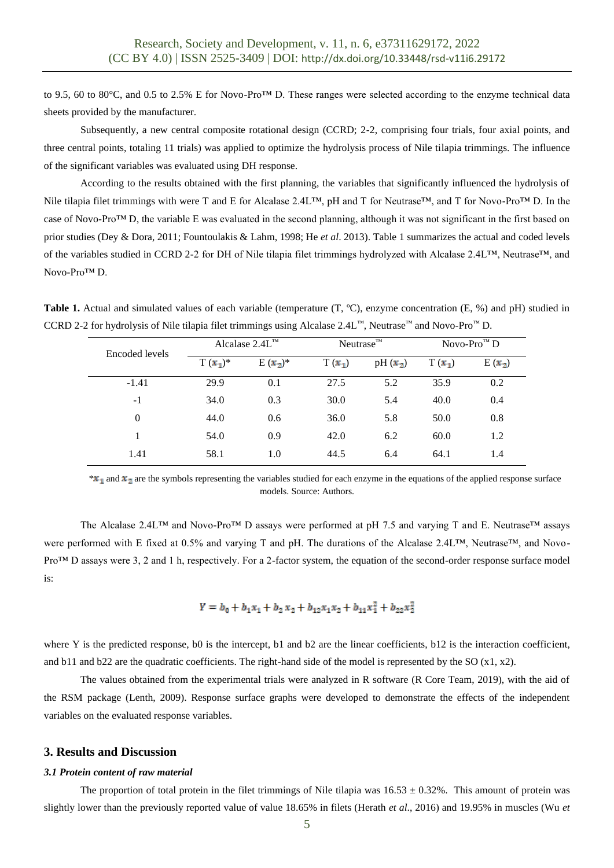to 9.5, 60 to 80°C, and 0.5 to 2.5% E for Novo-Pro™ D. These ranges were selected according to the enzyme technical data sheets provided by the manufacturer.

Subsequently, a new central composite rotational design (CCRD; 2-2, comprising four trials, four axial points, and three central points, totaling 11 trials) was applied to optimize the hydrolysis process of Nile tilapia trimmings. The influence of the significant variables was evaluated using DH response.

According to the results obtained with the first planning, the variables that significantly influenced the hydrolysis of Nile tilapia filet trimmings with were T and E for Alcalase 2.4L™, pH and T for Neutrase™, and T for Novo-Pro™ D. In the case of Novo-Pro™ D, the variable E was evaluated in the second planning, although it was not significant in the first based on prior studies (Dey & Dora, 2011; Fountoulakis & Lahm, 1998; He *et al*. 2013). Table 1 summarizes the actual and coded levels of the variables studied in CCRD 2-2 for DH of Nile tilapia filet trimmings hydrolyzed with Alcalase 2.4L™, Neutrase™, and Novo-Pro™ D.

**Table 1.** Actual and simulated values of each variable (temperature (T, ºC), enzyme concentration (E, %) and pH) studied in CCRD 2-2 for hydrolysis of Nile tilapia filet trimmings using Alcalase 2.4L™, Neutrase™ and Novo-Pro™ D.

| Encoded levels | Alcalase $2.4L^{m}$ |            | Neutrase <sup>™</sup> |           | Novo-Pro $^{\text{m}}$ D |          |
|----------------|---------------------|------------|-----------------------|-----------|--------------------------|----------|
|                | $T(x_1)^*$          | $E(x_2)^*$ | $T(x_1)$              | $pH(x_2)$ | $T(x_1)$                 | $E(x_2)$ |
| $-1.41$        | 29.9                | 0.1        | 27.5                  | 5.2       | 35.9                     | 0.2      |
| $-1$           | 34.0                | 0.3        | 30.0                  | 5.4       | 40.0                     | 0.4      |
| $\theta$       | 44.0                | 0.6        | 36.0                  | 5.8       | 50.0                     | 0.8      |
| 1              | 54.0                | 0.9        | 42.0                  | 6.2       | 60.0                     | 1.2      |
| 1.41           | 58.1                | 1.0        | 44.5                  | 6.4       | 64.1                     | 1.4      |

 $*$  and  $x_2$  are the symbols representing the variables studied for each enzyme in the equations of the applied response surface models. Source: Authors.

The Alcalase 2.4L™ and Novo-Pro™ D assays were performed at pH 7.5 and varying T and E. Neutrase™ assays were performed with E fixed at 0.5% and varying T and pH. The durations of the Alcalase 2.4L™, Neutrase™, and Novo-Pro™ D assays were 3, 2 and 1 h, respectively. For a 2-factor system, the equation of the second-order response surface model is:

$$
Y = b_0 + b_1 x_1 + b_2 x_2 + b_{12} x_1 x_2 + b_{11} x_1^2 + b_{22} x_2^2
$$

where Y is the predicted response, b0 is the intercept, b1 and b2 are the linear coefficients, b12 is the interaction coefficient, and b11 and b22 are the quadratic coefficients. The right-hand side of the model is represented by the SO  $(x1, x2)$ .

The values obtained from the experimental trials were analyzed in R software (R Core Team, 2019), with the aid of the RSM package (Lenth, 2009). Response surface graphs were developed to demonstrate the effects of the independent variables on the evaluated response variables.

## **3. Results and Discussion**

#### *3.1 Protein content of raw material*

The proportion of total protein in the filet trimmings of Nile tilapia was  $16.53 \pm 0.32\%$ . This amount of protein was slightly lower than the previously reported value of value 18.65% in filets (Herath *et al*., 2016) and 19.95% in muscles (Wu *et*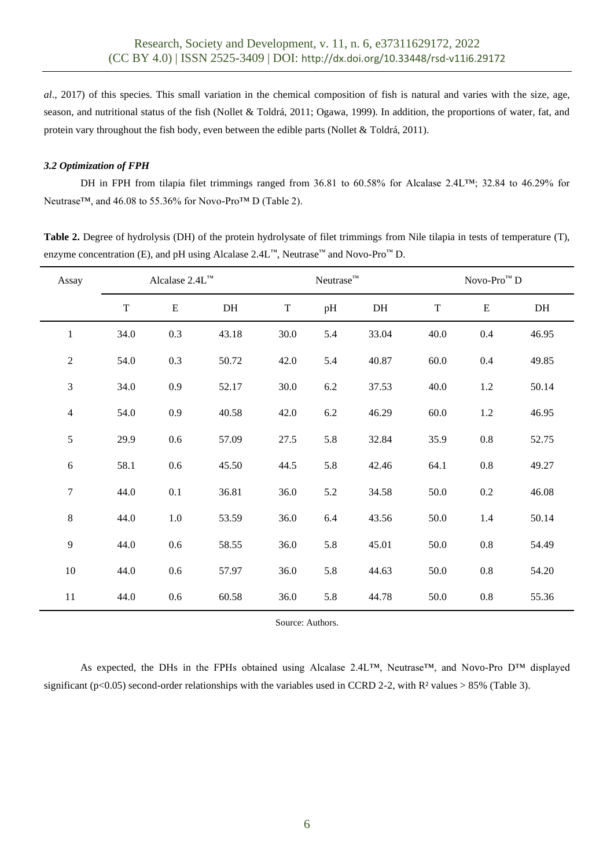*al*., 2017) of this species. This small variation in the chemical composition of fish is natural and varies with the size, age, season, and nutritional status of the fish (Nollet & Toldrá, 2011; Ogawa, 1999). In addition, the proportions of water, fat, and protein vary throughout the fish body, even between the edible parts (Nollet & Toldrá, 2011).

# *3.2 Optimization of FPH*

DH in FPH from tilapia filet trimmings ranged from 36.81 to 60.58% for Alcalase 2.4L™; 32.84 to 46.29% for Neutrase™, and 46.08 to 55.36% for Novo-Pro™ D (Table 2).

**Table 2.** Degree of hydrolysis (DH) of the protein hydrolysate of filet trimmings from Nile tilapia in tests of temperature (T), enzyme concentration (E), and pH using Alcalase  $2.4L^{m}$ , Neutrase<sup>™</sup> and Novo-Pro<sup>™</sup> D.

| Assay            | Alcalase 2.4L™ |             |       | $Neutrase^{\text{TM}}$ |     |       | Novo-Pro $^{\text{\tiny{\textsf{TM}}}}$ D |           |       |
|------------------|----------------|-------------|-------|------------------------|-----|-------|-------------------------------------------|-----------|-------|
|                  | $\mathbf T$    | $\mathbf E$ | DH    | $\mathbf T$            | pH  | DH    | $\mathbf T$                               | ${\bf E}$ | DH    |
| $\mathbf{1}$     | 34.0           | 0.3         | 43.18 | 30.0                   | 5.4 | 33.04 | 40.0                                      | 0.4       | 46.95 |
| $\sqrt{2}$       | 54.0           | 0.3         | 50.72 | 42.0                   | 5.4 | 40.87 | 60.0                                      | 0.4       | 49.85 |
| $\mathfrak 3$    | 34.0           | 0.9         | 52.17 | 30.0                   | 6.2 | 37.53 | 40.0                                      | $1.2\,$   | 50.14 |
| $\overline{4}$   | 54.0           | 0.9         | 40.58 | 42.0                   | 6.2 | 46.29 | $60.0\,$                                  | $1.2\,$   | 46.95 |
| $\mathfrak s$    | 29.9           | $0.6\,$     | 57.09 | 27.5                   | 5.8 | 32.84 | 35.9                                      | $0.8\,$   | 52.75 |
| $\sqrt{6}$       | 58.1           | $0.6\,$     | 45.50 | 44.5                   | 5.8 | 42.46 | 64.1                                      | $0.8\,$   | 49.27 |
| $\boldsymbol{7}$ | 44.0           | 0.1         | 36.81 | 36.0                   | 5.2 | 34.58 | 50.0                                      | 0.2       | 46.08 |
| $\,8\,$          | 44.0           | $1.0\,$     | 53.59 | 36.0                   | 6.4 | 43.56 | 50.0                                      | 1.4       | 50.14 |
| 9                | 44.0           | $0.6\,$     | 58.55 | 36.0                   | 5.8 | 45.01 | 50.0                                      | $0.8\,$   | 54.49 |
| 10               | 44.0           | $0.6\,$     | 57.97 | 36.0                   | 5.8 | 44.63 | 50.0                                      | $0.8\,$   | 54.20 |
| 11               | 44.0           | $0.6\,$     | 60.58 | 36.0                   | 5.8 | 44.78 | 50.0                                      | $0.8\,$   | 55.36 |

Source: Authors.

As expected, the DHs in the FPHs obtained using Alcalase 2.4L™, Neutrase™, and Novo-Pro D™ displayed significant ( $p<0.05$ ) second-order relationships with the variables used in CCRD 2-2, with R<sup>2</sup> values > 85% (Table 3).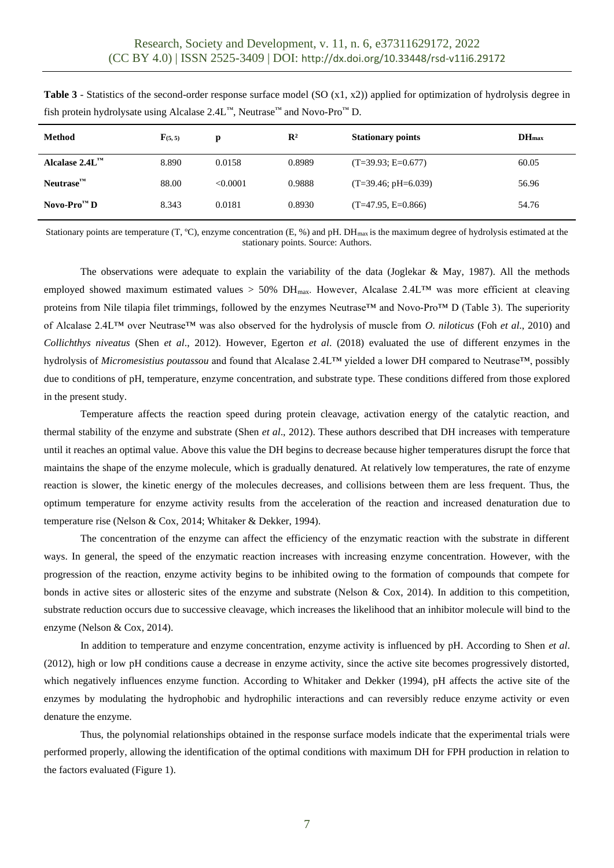| <b>Method</b>                        | $\mathbf{F}_{(5,5)}$ | p        | $\mathbb{R}^2$ | <b>Stationary points</b> | DH <sub>max</sub> |
|--------------------------------------|----------------------|----------|----------------|--------------------------|-------------------|
| Alcalase $2.4L^{m}$                  | 8.890                | 0.0158   | 0.8989         | $(T=39.93; E=0.677)$     | 60.05             |
| Neutrase <sup>TM</sup>               | 88.00                | < 0.0001 | 0.9888         | $(T=39.46; pH=6.039)$    | 56.96             |
| Novo-Pro <sup><math>M</math></sup> D | 8.343                | 0.0181   | 0.8930         | $(T=47.95, E=0.866)$     | 54.76             |

**Table 3** - Statistics of the second-order response surface model (SO (x1, x2)) applied for optimization of hydrolysis degree in fish protein hydrolysate using Alcalase 2.4L™, Neutrase™ and Novo-Pro™ D.

Stationary points are temperature (T,  $^{\circ}$ C), enzyme concentration (E, %) and pH. DH<sub>max</sub> is the maximum degree of hydrolysis estimated at the stationary points. Source: Authors.

The observations were adequate to explain the variability of the data (Joglekar & May, 1987). All the methods employed showed maximum estimated values > 50% DH<sub>max</sub>. However, Alcalase 2.4L<sup>TM</sup> was more efficient at cleaving proteins from Nile tilapia filet trimmings, followed by the enzymes Neutrase™ and Novo-Pro™ D (Table 3). The superiority of Alcalase 2.4L™ over Neutrase™ was also observed for the hydrolysis of muscle from *O. niloticus* (Foh *et al*., 2010) and *Collichthys niveatus* (Shen *et al*., 2012). However, Egerton *et al*. (2018) evaluated the use of different enzymes in the hydrolysis of *Micromesistius poutassou* and found that Alcalase 2.4L™ yielded a lower DH compared to Neutrase™, possibly due to conditions of pH, temperature, enzyme concentration, and substrate type. These conditions differed from those explored in the present study.

Temperature affects the reaction speed during protein cleavage, activation energy of the catalytic reaction, and thermal stability of the enzyme and substrate (Shen *et al*., 2012). These authors described that DH increases with temperature until it reaches an optimal value. Above this value the DH begins to decrease because higher temperatures disrupt the force that maintains the shape of the enzyme molecule, which is gradually denatured. At relatively low temperatures, the rate of enzyme reaction is slower, the kinetic energy of the molecules decreases, and collisions between them are less frequent. Thus, the optimum temperature for enzyme activity results from the acceleration of the reaction and increased denaturation due to temperature rise (Nelson & Cox, 2014; Whitaker & Dekker, 1994).

The concentration of the enzyme can affect the efficiency of the enzymatic reaction with the substrate in different ways. In general, the speed of the enzymatic reaction increases with increasing enzyme concentration. However, with the progression of the reaction, enzyme activity begins to be inhibited owing to the formation of compounds that compete for bonds in active sites or allosteric sites of the enzyme and substrate (Nelson & Cox, 2014). In addition to this competition, substrate reduction occurs due to successive cleavage, which increases the likelihood that an inhibitor molecule will bind to the enzyme (Nelson & Cox, 2014).

In addition to temperature and enzyme concentration, enzyme activity is influenced by pH. According to Shen *et al*. (2012), high or low pH conditions cause a decrease in enzyme activity, since the active site becomes progressively distorted, which negatively influences enzyme function. According to Whitaker and Dekker (1994), pH affects the active site of the enzymes by modulating the hydrophobic and hydrophilic interactions and can reversibly reduce enzyme activity or even denature the enzyme.

Thus, the polynomial relationships obtained in the response surface models indicate that the experimental trials were performed properly, allowing the identification of the optimal conditions with maximum DH for FPH production in relation to the factors evaluated (Figure 1).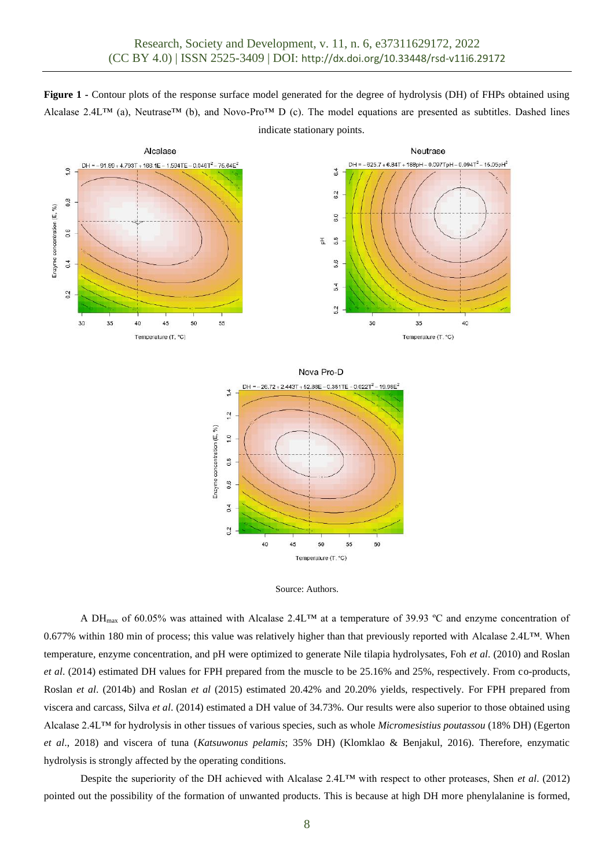**Figure 1 -** Contour plots of the response surface model generated for the degree of hydrolysis (DH) of FHPs obtained using Alcalase 2.4L™ (a), Neutrase™ (b), and Novo-Pro™ D (c). The model equations are presented as subtitles. Dashed lines indicate stationary points.



 $1.0$ 

 $0.8$ 

 $0.6$ 

 $0.4$ 

 $0.2$ 

40



50

Temperature (T, °C)

55

60

45

A DHmax of 60.05% was attained with Alcalase 2.4L™ at a temperature of 39.93 ºC and enzyme concentration of 0.677% within 180 min of process; this value was relatively higher than that previously reported with Alcalase 2.4L™. When temperature, enzyme concentration, and pH were optimized to generate Nile tilapia hydrolysates, Foh *et al*. (2010) and Roslan *et al*. (2014) estimated DH values for FPH prepared from the muscle to be 25.16% and 25%, respectively. From co-products, Roslan *et al*. (2014b) and Roslan *et al* (2015) estimated 20.42% and 20.20% yields, respectively. For FPH prepared from viscera and carcass, Silva *et al*. (2014) estimated a DH value of 34.73%. Our results were also superior to those obtained using Alcalase 2.4L™ for hydrolysis in other tissues of various species, such as whole *Micromesistius poutassou* (18% DH) (Egerton *et al*., 2018) and viscera of tuna (*Katsuwonus pelamis*; 35% DH) (Klomklao & Benjakul, 2016). Therefore, enzymatic hydrolysis is strongly affected by the operating conditions.

Despite the superiority of the DH achieved with Alcalase 2.4L™ with respect to other proteases, Shen *et al*. (2012) pointed out the possibility of the formation of unwanted products. This is because at high DH more phenylalanine is formed,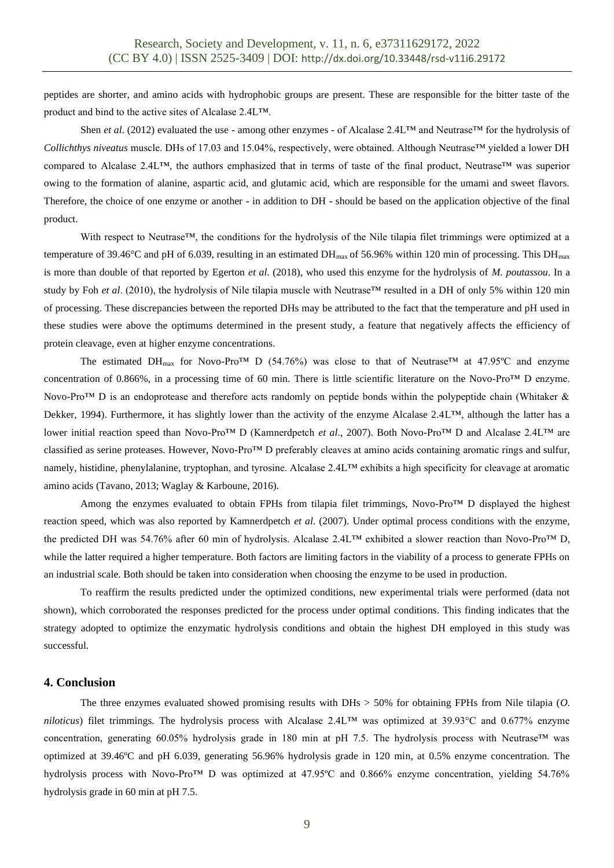peptides are shorter, and amino acids with hydrophobic groups are present. These are responsible for the bitter taste of the product and bind to the active sites of Alcalase 2.4L™.

Shen *et al*. (2012) evaluated the use - among other enzymes - of Alcalase 2.4L™ and Neutrase™ for the hydrolysis of *Collichthys niveatus* muscle. DHs of 17.03 and 15.04%, respectively, were obtained. Although Neutrase™ yielded a lower DH compared to Alcalase 2.4L™, the authors emphasized that in terms of taste of the final product, Neutrase™ was superior owing to the formation of alanine, aspartic acid, and glutamic acid, which are responsible for the umami and sweet flavors. Therefore, the choice of one enzyme or another - in addition to DH - should be based on the application objective of the final product.

With respect to Neutrase™, the conditions for the hydrolysis of the Nile tilapia filet trimmings were optimized at a temperature of 39.46°C and pH of 6.039, resulting in an estimated DH<sub>max</sub> of 56.96% within 120 min of processing. This DH<sub>max</sub> is more than double of that reported by Egerton *et al*. (2018), who used this enzyme for the hydrolysis of *M. poutassou*. In a study by Foh *et al.* (2010), the hydrolysis of Nile tilapia muscle with Neutrase™ resulted in a DH of only 5% within 120 min of processing. These discrepancies between the reported DHs may be attributed to the fact that the temperature and pH used in these studies were above the optimums determined in the present study, a feature that negatively affects the efficiency of protein cleavage, even at higher enzyme concentrations.

The estimated DH<sub>max</sub> for Novo-Pro<sup>TM</sup> D (54.76%) was close to that of Neutrase<sup>TM</sup> at 47.95°C and enzyme concentration of 0.866%, in a processing time of 60 min. There is little scientific literature on the Novo-Pro<sup>TM</sup> D enzyme. Novo-Pro™ D is an endoprotease and therefore acts randomly on peptide bonds within the polypeptide chain (Whitaker & Dekker, 1994). Furthermore, it has slightly lower than the activity of the enzyme Alcalase 2.4L™, although the latter has a lower initial reaction speed than Novo-Pro™ D (Kamnerdpetch *et al*., 2007). Both Novo-Pro™ D and Alcalase 2.4L™ are classified as serine proteases. However, Novo-Pro™ D preferably cleaves at amino acids containing aromatic rings and sulfur, namely, histidine, phenylalanine, tryptophan, and tyrosine. Alcalase 2.4L™ exhibits a high specificity for cleavage at aromatic amino acids (Tavano, 2013; Waglay & Karboune, 2016).

Among the enzymes evaluated to obtain FPHs from tilapia filet trimmings, Novo-Pro™ D displayed the highest reaction speed, which was also reported by Kamnerdpetch *et al*. (2007). Under optimal process conditions with the enzyme, the predicted DH was 54.76% after 60 min of hydrolysis. Alcalase 2.4L™ exhibited a slower reaction than Novo-Pro™ D, while the latter required a higher temperature. Both factors are limiting factors in the viability of a process to generate FPHs on an industrial scale. Both should be taken into consideration when choosing the enzyme to be used in production.

To reaffirm the results predicted under the optimized conditions, new experimental trials were performed (data not shown), which corroborated the responses predicted for the process under optimal conditions. This finding indicates that the strategy adopted to optimize the enzymatic hydrolysis conditions and obtain the highest DH employed in this study was successful.

#### **4. Conclusion**

The three enzymes evaluated showed promising results with DHs > 50% for obtaining FPHs from Nile tilapia (*O. niloticus*) filet trimmings. The hydrolysis process with Alcalase 2.4L™ was optimized at 39.93°C and 0.677% enzyme concentration, generating 60.05% hydrolysis grade in 180 min at pH 7.5. The hydrolysis process with Neutrase™ was optimized at 39.46ºC and pH 6.039, generating 56.96% hydrolysis grade in 120 min, at 0.5% enzyme concentration. The hydrolysis process with Novo-Pro<sup>TM</sup> D was optimized at 47.95°C and 0.866% enzyme concentration, yielding 54.76% hydrolysis grade in 60 min at pH 7.5.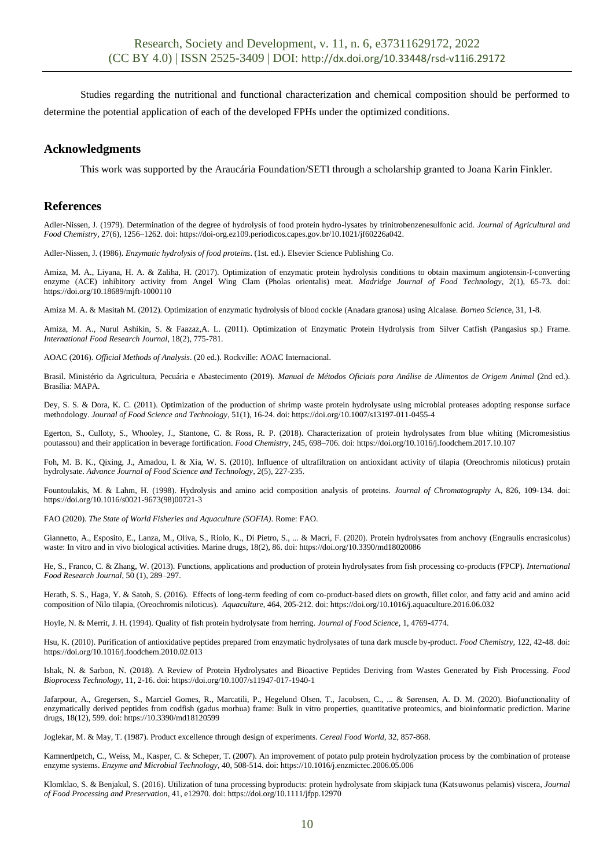Studies regarding the nutritional and functional characterization and chemical composition should be performed to determine the potential application of each of the developed FPHs under the optimized conditions.

# **Acknowledgments**

This work was supported by the Araucária Foundation/SETI through a scholarship granted to Joana Karin Finkler.

## **References**

Adler-Nissen, J. (1979). Determination of the degree of hydrolysis of food protein hydro-lysates by trinitrobenzenesulfonic acid. *Journal of Agricultural and Food Chemistry*, 27(6), 1256–1262. doi: https://doi-org.ez109.periodicos.capes.gov.br/10.1021/jf60226a042.

Adler-Nissen, J. (1986). *Enzymatic hydrolysis of food proteins*. (1st. ed.). Elsevier Science Publishing Co.

Amiza, M. A., Liyana, H. A. & Zaliha, H. (2017). Optimization of enzymatic protein hydrolysis conditions to obtain maximum angiotensin-I-converting enzyme (ACE) inhibitory activity from Angel Wing Clam (Pholas orientalis) meat. *Madridge Journal of Food Technology*, 2(1), 65-73. doi: https://doi.org/10.18689/mjft-1000110

Amiza M. A. & Masitah M. (2012). Optimization of enzymatic hydrolysis of blood cockle (Anadara granosa) using Alcalase. *Borneo Scien*ce, 31, 1-8.

Amiza, M. A., Nurul Ashikin, S. & Faazaz, A. L. (2011). Optimization of Enzymatic Protein Hydrolysis from Silver Catfish (Pangasius sp.) Frame. *International Food Research Journal*, 18(2), 775-781.

AOAC (2016). *Official Methods of Analysis*. (20 ed.). Rockville: AOAC Internacional.

Brasil. Ministério da Agricultura, Pecuária e Abastecimento (2019). *Manual de Métodos Oficiais para Análise de Alimentos de Origem Animal* (2nd ed.). Brasília: MAPA.

Dey, S. S. & Dora, K. C. (2011). Optimization of the production of shrimp waste protein hydrolysate using microbial proteases adopting response surface methodology. *Journal of Food Science and Technology*, 51(1), 16-24. doi: https://doi.org/10.1007/s13197-011-0455-4

Egerton, S., Culloty, S., Whooley, J., Stantone, C. & Ross, R. P. (2018). Characterization of protein hydrolysates from blue whiting (Micromesistius poutassou) and their application in beverage fortification. *Food Chemistry*, 245, 698–706. doi: https://doi.org/10.1016/j.foodchem.2017.10.107

Foh, M. B. K., Qixing, J., Amadou, I. & Xia, W. S. (2010). Influence of ultrafiltration on antioxidant activity of tilapia (Oreochromis niloticus) protain hydrolysate. *Advance Journal of Food Science and Technology*, 2(5), 227-235.

Fountoulakis, M. & Lahm, H. (1998). Hydrolysis and amino acid composition analysis of proteins. *Journal of Chromatography* A, 826, 109-134. doi: https://doi.org/10.1016/s0021-9673(98)00721-3

FAO (2020). *The State of World Fisheries and Aquaculture (SOFIA)*. Rome: FAO.

Giannetto, A., Esposito, E., Lanza, M., Oliva, S., Riolo, K., Di Pietro, S., ... & Macrì, F. (2020). Protein hydrolysates from anchovy (Engraulis encrasicolus) waste: In vitro and in vivo biological activities. Marine drugs, 18(2), 86. doi: https://doi.org/10.3390/md18020086

He, S., Franco, C. & Zhang, W. (2013). Functions, applications and production of protein hydrolysates from fish processing co-products (FPCP). *International Food Research Journal,* 50 (1), 289–297.

Herath, S. S., Haga, Y. & Satoh, S. (2016). Effects of long-term feeding of corn co-product-based diets on growth, fillet color, and fatty acid and amino acid composition of Nilo tilapia, (Oreochromis niloticus). *Aquaculture*, 464, 205-212. doi: https://doi.org/10.1016/j.aquaculture.2016.06.032

Hoyle, N. & Merrit, J. H. (1994). Quality of fish protein hydrolysate from herring. *Journal of Food Science,* 1, 4769-4774.

Hsu, K. (2010). Purification of antioxidative peptides prepared from enzymatic hydrolysates of tuna dark muscle by-product. *Food Chemistry,* 122, 42-48. doi: https://doi.org/10.1016/j.foodchem.2010.02.013

Ishak, N. & Sarbon, N. (2018). A Review of Protein Hydrolysates and Bioactive Peptides Deriving from Wastes Generated by Fish Processing. *Food Bioprocess Technology,* 11, 2-16. doi: https://doi.org/10.1007/s11947-017-1940-1

Jafarpour, A., Gregersen, S., Marciel Gomes, R., Marcatili, P., Hegelund Olsen, T., Jacobsen, C., ... & Sørensen, A. D. M. (2020). Biofunctionality of enzymatically derived peptides from codfish (gadus morhua) frame: Bulk in vitro properties, quantitative proteomics, and bioinformatic prediction. Marine drugs, 18(12), 599. doi: https://10.3390/md18120599

Joglekar, M. & May, T. (1987). Product excellence through design of experiments. *Cereal Food World*, 32, 857-868.

Kamnerdpetch, C., Weiss, M., Kasper, C. & Scheper, T. (2007). An improvement of potato pulp protein hydrolyzation process by the combination of protease enzyme systems. *Enzyme and Microbial Technology*, 40, 508-514. doi: https://10.1016/j.enzmictec.2006.05.006

Klomklao, S. & Benjakul, S. (2016). Utilization of tuna processing byproducts: protein hydrolysate from skipjack tuna (Katsuwonus pelamis) viscera, *Journal of Food Processing and Preservation*, 41, e12970. doi: https://doi.org/10.1111/jfpp.12970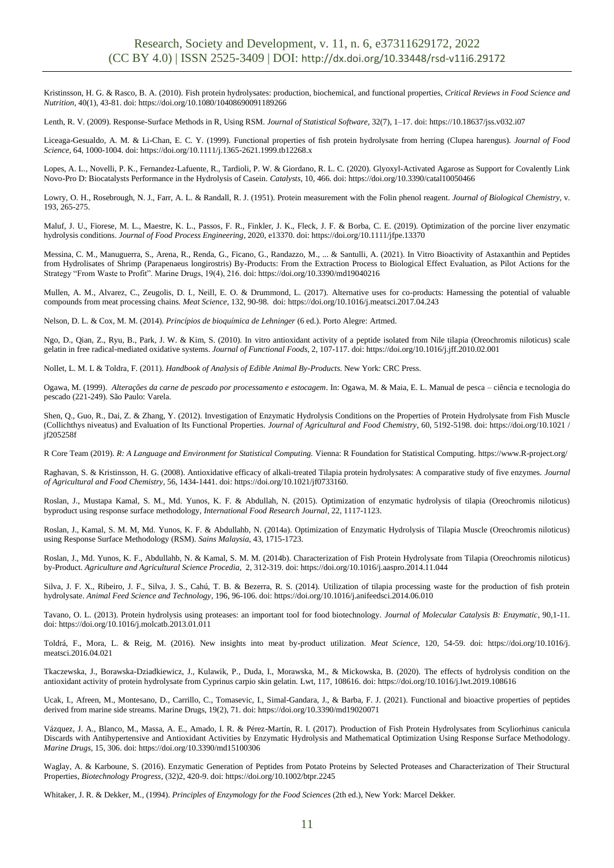Kristinsson, H. G. & Rasco, B. A. (2010). Fish protein hydrolysates: production, biochemical, and functional properties, *Critical Reviews in Food Science and Nutrition,* 40(1), 43-81. doi: https://doi.org/10.1080/10408690091189266

Lenth, R. V. (2009). Response-Surface Methods in R, Using RSM. *Journal of Statistical Software*, 32(7), 1–17. doi: https://10.18637/jss.v032.i07

Liceaga-Gesualdo, A. M. & Li-Chan, E. C. Y. (1999). Functional properties of fish protein hydrolysate from herring (Clupea harengus). *Journal of Food Science*, 64, 1000-1004. doi: https://doi.org/10.1111/j.1365-2621.1999.tb12268.x

Lopes, A. L., Novelli, P. K., Fernandez-Lafuente, R., Tardioli, P. W. & Giordano, R. L. C. (2020). Glyoxyl-Activated Agarose as Support for Covalently Link Novo-Pro D: Biocatalysts Performance in the Hydrolysis of Casein. *Catalysts*, 10, 466. doi: https://doi.org/10.3390/catal10050466

Lowry, O. H., Rosebrough, N. J., Farr, A. L. & Randall, R. J. (1951). Protein measurement with the Folin phenol reagent. *Journal of Biological Chemistry*, v. 193, 265-275.

Maluf, J. U., Fiorese, M. L., Maestre, K. L., Passos, F. R., Finkler, J. K., Fleck, J. F. & Borba, C. E. (2019). Optimization of the porcine liver enzymatic hydrolysis conditions. *Journal of Food Process Engineering*, 2020, e13370. doi: https://doi.org/10.1111/jfpe.13370

Messina, C. M., Manuguerra, S., Arena, R., Renda, G., Ficano, G., Randazzo, M., ... & Santulli, A. (2021). In Vitro Bioactivity of Astaxanthin and Peptides from Hydrolisates of Shrimp (Parapenaeus longirostris) By-Products: From the Extraction Process to Biological Effect Evaluation, as Pilot Actions for the Strategy "From Waste to Profit". Marine Drugs, 19(4), 216. doi: https://doi.org/10.3390/md19040216

Mullen, A. M., Alvarez, C., Zeugolis, D. I., Neill, E. O. & Drummond, L. (2017). Alternative uses for co-products: Harnessing the potential of valuable compounds from meat processing chains. *Meat Science*, 132, 90-98. doi: https://doi.org/10.1016/j.meatsci.2017.04.243

Nelson, D. L. & Cox, M. M. (2014). *Princípios de bioquímica de Lehninger* (6 ed.). Porto Alegre: Artmed.

Ngo, D., Qian, Z., Ryu, B., Park, J. W. & Kim, S. (2010). In vitro antioxidant activity of a peptide isolated from Nile tilapia (Oreochromis niloticus) scale gelatin in free radical-mediated oxidative systems. *Journal of Functional Foods*, 2, 107-117. doi: https://doi.org/10.1016/j.jff.2010.02.001

Nollet, L. M. L & Toldra, F. (2011). *Handbook of Analysis of Edible Animal By-Products*. New York: CRC Press.

Ogawa, M. (1999). *Alterações da carne de pescado por processamento e estocagem*. In: Ogawa, M. & Maia, E. L. Manual de pesca – ciência e tecnologia do pescado (221-249). São Paulo: Varela.

Shen, Q., Guo, R., Dai, Z. & Zhang, Y. (2012). Investigation of Enzymatic Hydrolysis Conditions on the Properties of Protein Hydrolysate from Fish Muscle (Collichthys niveatus) and Evaluation of Its Functional Properties. *Journal of Agricultural and Food Chemistry*, 60, 5192-5198. doi: https://doi.org/10.1021 / jf205258f

R Core Team (2019). *R: A Language and Environment for Statistical Computing.* Vienna: R Foundation for Statistical Computing. [https://www.R-project.org/](https://www.r-project.org/)

Raghavan, S. & Kristinsson, H. G. (2008). Antioxidative efficacy of alkali-treated Tilapia protein hydrolysates: A comparative study of five enzymes. *Journal of Agricultural and Food Chemistry,* 56, 1434-1441. doi: https://doi.org/10.1021/jf0733160.

Roslan, J., Mustapa Kamal, S. M., Md. Yunos, K. F. & Abdullah, N. (2015). Optimization of enzymatic hydrolysis of tilapia (Oreochromis niloticus) byproduct using response surface methodology, *International Food Research Journal*, 22, 1117-1123.

Roslan, J., Kamal, S. M. M, Md. Yunos, K. F. & Abdullahb, N. (2014a). Optimization of Enzymatic Hydrolysis of Tilapia Muscle (Oreochromis niloticus) using Response Surface Methodology (RSM). *Sains Malaysia*, 43, 1715-1723.

Roslan, J., Md. Yunos, K. F., Abdullahb, N. & Kamal, S. M. M. (2014b). Characterization of Fish Protein Hydrolysate from Tilapia (Oreochromis niloticus) by-Product. *Agriculture and Agricultural Science Procedia*, 2, 312-319. doi: https://doi.org/10.1016/j.aaspro.2014.11.044

Silva, J. F. X., Ribeiro, J. F., Silva, J. S., Cahú, T. B. & Bezerra, R. S. (2014). Utilization of tilapia processing waste for the production of fish protein hydrolysate. *Animal Feed Science and Technology*, 196, 96-106. doi: https://doi.org/10.1016/j.anifeedsci.2014.06.010

Tavano, O. L. (2013). Protein hydrolysis using proteases: an important tool for food biotechnology. *Journal of Molecular Catalysis B: Enzymatic*, 90,1-11. doi: https://doi.org/10.1016/j.molcatb.2013.01.011

Toldrá, F., Mora, L. & Reig, M. (2016). New insights into meat by-product utilization. *Meat Science,* 120, 54-59. doi: https://doi.org/10.1016/j. meatsci.2016.04.021

Tkaczewska, J., Borawska-Dziadkiewicz, J., Kulawik, P., Duda, I., Morawska, M., & Mickowska, B. (2020). The effects of hydrolysis condition on the antioxidant activity of protein hydrolysate from Cyprinus carpio skin gelatin. Lwt, 117, 108616. doi: https://doi.org/10.1016/j.lwt.2019.108616

Ucak, I., Afreen, M., Montesano, D., Carrillo, C., Tomasevic, I., Simal-Gandara, J., & Barba, F. J. (2021). Functional and bioactive properties of peptides derived from marine side streams. Marine Drugs, 19(2), 71. doi: https://doi.org/10.3390/md19020071

Vázquez, J. A., Blanco, M., Massa, A. E., Amado, I. R. & Pérez-Martín, R. I. (2017). Production of Fish Protein Hydrolysates from Scyliorhinus canicula Discards with Antihypertensive and Antioxidant Activities by Enzymatic Hydrolysis and Mathematical Optimization Using Response Surface Methodology. *Marine Drugs*, 15, 306. doi: https://doi.org/10.3390/md15100306

Waglay, A. & Karboune, S. (2016). Enzymatic Generation of Peptides from Potato Proteins by Selected Proteases and Characterization of Their Structural Properties, *Biotechnology Progress*, (32)2, 420-9. doi: https://doi.org/10.1002/btpr.2245

Whitaker, J. R. & Dekker, M., (1994). *Principles of Enzymology for the Food Sciences* (2th ed.), New York: Marcel Dekker.